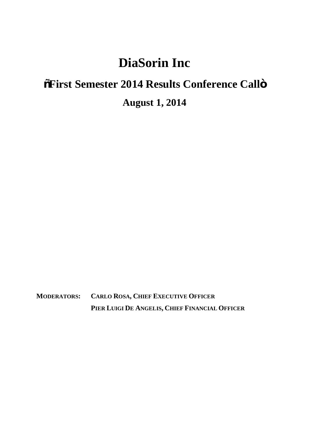## **DiaSorin Inc**

## **"First Semester 2014 Results Conference Call"**

**August 1, 2014**

**MODERATORS: CARLO ROSA, CHIEF EXECUTIVE OFFICER PIER LUIGI DE ANGELIS, CHIEF FINANCIAL OFFICER**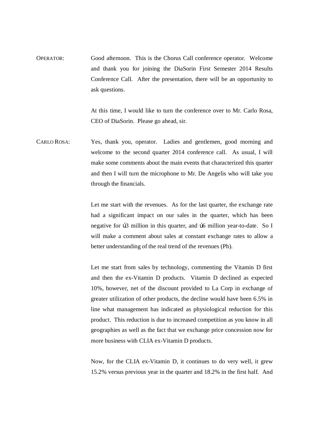OPERATOR: Good afternoon. This is the Chorus Call conference operator. Welcome and thank you for joining the DiaSorin First Semester 2014 Results Conference Call. After the presentation, there will be an opportunity to ask questions.

> At this time, I would like to turn the conference over to Mr. Carlo Rosa, CEO of DiaSorin. Please go ahead, sir.

CARLO ROSA: Yes, thank you, operator. Ladies and gentlemen, good morning and welcome to the second quarter 2014 conference call. As usual, I will make some comments about the main events that characterized this quarter and then I will turn the microphone to Mr. De Angelis who will take you through the financials.

> Let me start with the revenues. As for the last quarter, the exchange rate had a significant impact on our sales in the quarter, which has been negative for  $b3$  million in this quarter, and  $b6$  million year-to-date. So I will make a comment about sales at constant exchange rates to allow a better understanding of the real trend of the revenues (Ph).

> Let me start from sales by technology, commenting the Vitamin D first and then the ex-Vitamin D products. Vitamin D declined as expected 10%, however, net of the discount provided to La Corp in exchange of greater utilization of other products, the decline would have been 6.5% in line what management has indicated as physiological reduction for this product. This reduction is due to increased competition as you know in all geographies as well as the fact that we exchange price concession now for more business with CLIA ex-Vitamin D products.

> Now, for the CLIA ex-Vitamin D, it continues to do very well, it grew 15.2% versus previous year in the quarter and 18.2% in the first half. And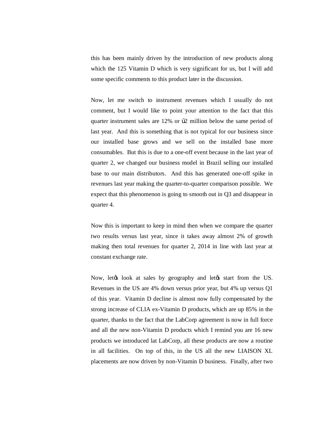this has been mainly driven by the introduction of new products along which the 125 Vitamin D which is very significant for us, but I will add some specific comments to this product later in the discussion.

Now, let me switch to instrument revenues which I usually do not comment, but I would like to point your attention to the fact that this quarter instrument sales are  $12\%$  or  $\beta$ 2 million below the same period of last year. And this is something that is not typical for our business since our installed base grows and we sell on the installed base more consumables. But this is due to a one-off event because in the last year of quarter 2, we changed our business model in Brazil selling our installed base to our main distributors. And this has generated one-off spike in revenues last year making the quarter-to-quarter comparison possible. We expect that this phenomenon is going to smooth out in Q3 and disappear in quarter 4.

Now this is important to keep in mind then when we compare the quarter two results versus last year, since it takes away almost 2% of growth making then total revenues for quarter 2, 2014 in line with last year at constant exchange rate.

Now, let the look at sales by geography and let ts start from the US. Revenues in the US are 4% down versus prior year, but 4% up versus Q1 of this year. Vitamin D decline is almost now fully compensated by the strong increase of CLIA ex-Vitamin D products, which are up 85% in the quarter, thanks to the fact that the LabCorp agreement is now in full force and all the new non-Vitamin D products which I remind you are 16 new products we introduced lat LabCorp, all these products are now a routine in all facilities. On top of this, in the US all the new LIAISON XL placements are now driven by non-Vitamin D business. Finally, after two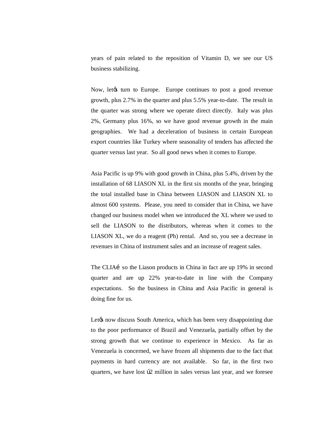years of pain related to the reposition of Vitamin D, we see our US business stabilizing.

Now, let turn to Europe. Europe continues to post a good revenue growth, plus 2.7% in the quarter and plus 5.5% year-to-date. The result in the quarter was strong where we operate direct directly. Italy was plus 2%, Germany plus 16%, so we have good revenue growth in the main geographies. We had a deceleration of business in certain European export countries like Turkey where seasonality of tenders has affected the quarter versus last year. So all good news when it comes to Europe.

Asia Pacific is up 9% with good growth in China, plus 5.4%, driven by the installation of 68 LIASON XL in the first six months of the year, bringing the total installed base in China between LIASON and LIASON XL to almost 600 systems. Please, you need to consider that in China, we have changed our business model when we introduced the XL where we used to sell the LIASON to the distributors, whereas when it comes to the LIASON XL, we do a reagent (Ph) rental. And so, you see a decrease in revenues in China of instrument sales and an increase of reagent sales.

The CLIAí so the Liason products in China in fact are up 19% in second quarter and are up 22% year-to-date in line with the Company expectations. So the business in China and Asia Pacific in general is doing fine for us.

Let $\alpha$  now discuss South America, which has been very disappointing due to the poor performance of Brazil and Venezuela, partially offset by the strong growth that we continue to experience in Mexico. As far as Venezuela is concerned, we have frozen all shipments due to the fact that payments in hard currency are not available. So far, in the first two quarters, we have lost  $b2$  million in sales versus last year, and we foresee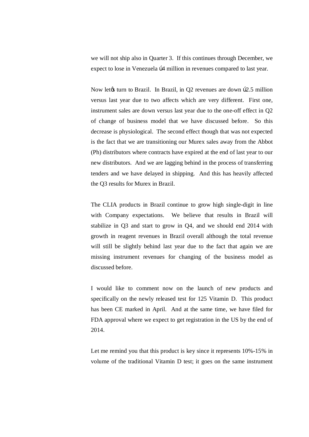we will not ship also in Quarter 3. If this continues through December, we expect to lose in Venezuela  $\beta$ 4 million in revenues compared to last year.

Now let turn to Brazil. In Brazil, in Q2 revenues are down  $b2.5$  million versus last year due to two affects which are very different. First one, instrument sales are down versus last year due to the one-off effect in Q2 of change of business model that we have discussed before. So this decrease is physiological. The second effect though that was not expected is the fact that we are transitioning our Murex sales away from the Abbot (Ph) distributors where contracts have expired at the end of last year to our new distributors. And we are lagging behind in the process of transferring tenders and we have delayed in shipping. And this has heavily affected the Q3 results for Murex in Brazil.

The CLIA products in Brazil continue to grow high single-digit in line with Company expectations. We believe that results in Brazil will stabilize in Q3 and start to grow in Q4, and we should end 2014 with growth in reagent revenues in Brazil overall although the total revenue will still be slightly behind last year due to the fact that again we are missing instrument revenues for changing of the business model as discussed before.

I would like to comment now on the launch of new products and specifically on the newly released test for 125 Vitamin D. This product has been CE marked in April. And at the same time, we have filed for FDA approval where we expect to get registration in the US by the end of 2014.

Let me remind you that this product is key since it represents 10%-15% in volume of the traditional Vitamin D test; it goes on the same instrument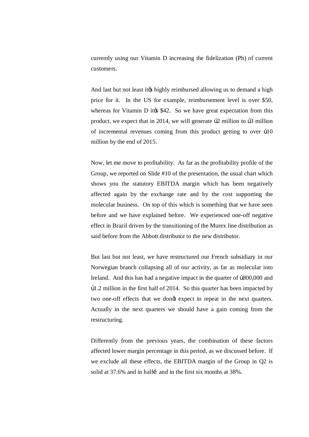currently using our Vitamin D increasing the fidelization (Ph) of current customers.

And last but not least it to highly reimbursed allowing us to demand a high price for it. In the US for example, reimbursement level is over \$50, whereas for Vitamin D it  $\&$  \$42. So we have great expectation from this product, we expect that in 2014, we will generate  $\beta$ 2 million to  $\beta$ 3 million of incremental revenues coming from this product getting to over  $\beta$ 10 million by the end of 2015.

Now, let me move to profitability. As far as the profitability profile of the Group, we reported on Slide #10 of the presentation, the usual chart which shows you the statutory EBITDA margin which has been negatively affected again by the exchange rate and by the cost supporting the molecular business. On top of this which is something that we have seen before and we have explained before. We experienced one-off negative effect in Brazil driven by the transitioning of the Murex line distribution as said before from the Abbott distributor to the new distributor.

But last but not least, we have restructured our French subsidiary in our Norwegian branch collapsing all of our activity, as far as molecular into Ireland. And this has had a negative impact in the quarter of  $\beta 800,000$  and €1.2 million in the first half of 2014. So this quarter has been impacted by two one-off effects that we dongt expect to repeat in the next quarters. Actually in the next quarters we should have a gain coming from the restructuring.

Differently from the previous years, the combination of these factors affected lower margin percentage in this period, as we discussed before. If we exclude all these effects, the EBITDA margin of the Group in Q2 is solid at 37.6% and in halfí and in the first six months at 38%.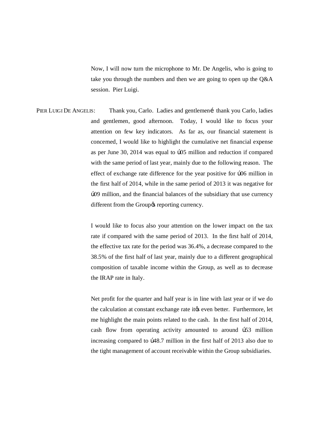Now, I will now turn the microphone to Mr. De Angelis, who is going to take you through the numbers and then we are going to open up the Q&A session. Pier Luigi.

PIER LUIGI DE ANGELIS: Thank you, Carlo. Ladies and gentlemení thank you Carlo, ladies and gentlemen, good afternoon. Today, I would like to focus your attention on few key indicators. As far as, our financial statement is concerned, I would like to highlight the cumulative net financial expense as per June 30, 2014 was equal to  $b$ 05 million and reduction if compared with the same period of last year, mainly due to the following reason. The effect of exchange rate difference for the year positive for  $b$ 06 million in the first half of 2014, while in the same period of 2013 it was negative for €09 million, and the financial balances of the subsidiary that use currency different from the Group $\alpha$  reporting currency.

> I would like to focus also your attention on the lower impact on the tax rate if compared with the same period of 2013. In the first half of 2014, the effective tax rate for the period was 36.4%, a decrease compared to the 38.5% of the first half of last year, mainly due to a different geographical composition of taxable income within the Group, as well as to decrease the IRAP rate in Italy.

> Net profit for the quarter and half year is in line with last year or if we do the calculation at constant exchange rate it to even better. Furthermore, let me highlight the main points related to the cash. In the first half of 2014, cash flow from operating activity amounted to around  $b53$  million increasing compared to  $\beta$ 48.7 million in the first half of 2013 also due to the tight management of account receivable within the Group subsidiaries.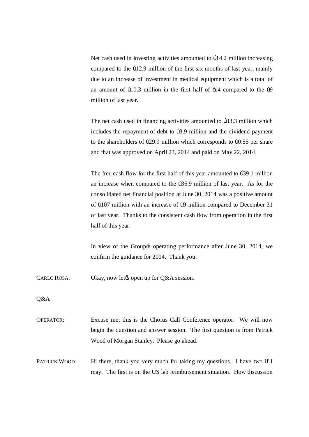Net cash used in investing activities amounted to  $\frac{14.2 \text{ million increasing}}{2}$ compared to the  $b12.9$  million of the first six months of last year, mainly due to an increase of investment in medical equipment which is a total of an amount of  $\frac{10.3}{10.3}$  million in the first half of  $\div 14$  compared to the  $\frac{10}{9}$ million of last year.

The net cash used in financing activities amounted to  $b33.3$  million which includes the repayment of debt to b3.9 million and the dividend payment to the shareholders of  $b29.9$  million which corresponds to  $b0.55$  per share and that was approved on April 23, 2014 and paid on May 22, 2014.

The free cash flow for the first half of this year amounted to  $b39.1$  million an increase when compared to the  $\beta$ 36.9 million of last year. As for the consolidated net financial position at June 30, 2014 was a positive amount of  $b107$  million with an increase of  $b9$  million compared to December 31 of last year. Thanks to the consistent cash flow from operation in the first half of this year.

In view of the Group to operating performance after June 30, 2014, we confirm the guidance for 2014. Thank you.

CARLO ROSA: Okay, now let  $\&$  Okay, now let  $Q$ &A session.

Q&A

OPERATOR: Excuse me; this is the Chorus Call Conference operator. We will now begin the question and answer session. The first question is from Patrick Wood of Morgan Stanley. Please go ahead.

PATRICK WOOD: Hi there, thank you very much for taking my questions. I have two if I may. The first is on the US lab reimbursement situation. How discussion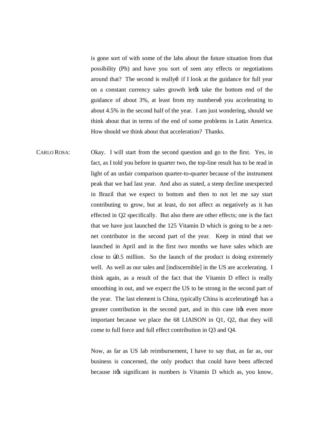is gone sort of with some of the labs about the future situation from that possibility (Ph) and have you sort of seen any effects or negotiations around that? The second is really if I look at the guidance for full year on a constant currency sales growth let take the bottom end of the guidance of about 3%, at least from my numbersi you accelerating to about 4.5% in the second half of the year. I am just wondering, should we think about that in terms of the end of some problems in Latin America. How should we think about that acceleration? Thanks.

CARLO ROSA: Okay. I will start from the second question and go to the first. Yes, in fact, as I told you before in quarter two, the top-line result has to be read in light of an unfair comparison quarter-to-quarter because of the instrument peak that we had last year. And also as stated, a steep decline unexpected in Brazil that we expect to bottom and then to not let me say start contributing to grow, but at least, do not affect as negatively as it has effected in Q2 specifically. But also there are other effects; one is the fact that we have just launched the 125 Vitamin D which is going to be a netnet contributor in the second part of the year. Keep in mind that we launched in April and in the first two months we have sales which are close to  $\beta$ 0.5 million. So the launch of the product is doing extremely well. As well as our sales and [indiscernible] in the US are accelerating. I think again, as a result of the fact that the Vitamin D effect is really smoothing in out, and we expect the US to be strong in the second part of the year. The last element is China, typically China is accelerating has a greater contribution in the second part, and in this case it to even more important because we place the 68 LIAISON in Q1, Q2, that they will come to full force and full effect contribution in Q3 and Q4.

> Now, as far as US lab reimbursement, I have to say that, as far as, our business is concerned, the only product that could have been affected because it ts significant in numbers is Vitamin D which as, you know,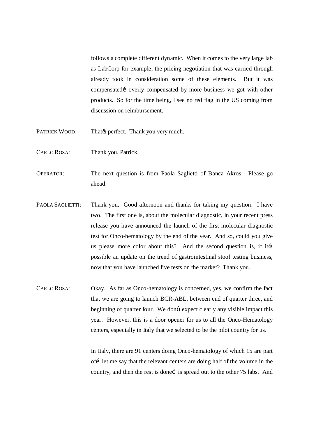follows a complete different dynamic. When it comes to the very large lab as LabCorp for example, the pricing negotiation that was carried through already took in consideration some of these elements. But it was compensated i overly compensated by more business we got with other products. So for the time being, I see no red flag in the US coming from discussion on reimbursement.

- PATRICK WOOD: That  $\emptyset$  perfect. Thank you very much.
- CARLO ROSA: Thank you, Patrick.
- OPERATOR: The next question is from Paola Saglietti of Banca Akros. Please go ahead.
- PAOLA SAGLIETTI: Thank you. Good afternoon and thanks for taking my question. I have two. The first one is, about the molecular diagnostic, in your recent press release you have announced the launch of the first molecular diagnostic test for Onco-hematology by the end of the year. And so, could you give us please more color about this? And the second question is, if its possible an update on the trend of gastrointestinal stool testing business, now that you have launched five tests on the market? Thank you.
- CARLO ROSA: Okay. As far as Onco-hematology is concerned, yes, we confirm the fact that we are going to launch BCR-ABL, between end of quarter three, and beginning of quarter four. We dongt expect clearly any visible impact this year. However, this is a door opener for us to all the Onco-Hematology centers, especially in Italy that we selected to be the pilot country for us.

In Italy, there are 91 centers doing Onco-hematology of which 15 are part of let me say that the relevant centers are doing half of the volume in the country, and then the rest is done i is spread out to the other 75 labs. And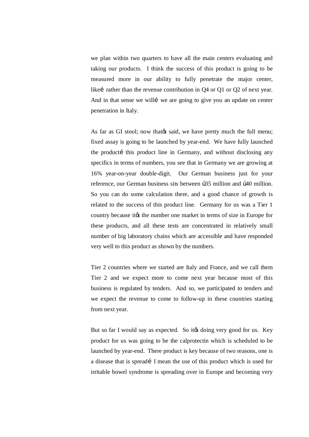we plan within two quarters to have all the main centers evaluating and taking our products. I think the success of this product is going to be measured more in our ability to fully penetrate the major center, likeí rather than the revenue contribution in  $Q4$  or  $Q1$  or  $Q2$  of next year. And in that sense we will i we are going to give you an update on center penetration in Italy.

As far as GI stool; now that that said, we have pretty much the full menu; fixed assay is going to be launched by year-end. We have fully launched the producti this product line in Germany, and without disclosing any specifics in terms of numbers, you see that in Germany we are growing at 16% year-on-year double-digit. Our German business just for your reference, our German business sits between  $\beta$ 35 million and  $\beta$ 40 million. So you can do some calculation there, and a good chance of growth is related to the success of this product line. Germany for us was a Tier 1 country because it ts the number one market in terms of size in Europe for these products, and all these tests are concentrated in relatively small number of big laboratory chains which are accessible and have responded very well to this product as shown by the numbers.

Tier 2 countries where we started are Italy and France, and we call them Tier 2 and we expect more to come next year because most of this business is regulated by tenders. And so, we participated to tenders and we expect the revenue to come to follow-up in these countries starting from next year.

But so far I would say as expected. So it the doing very good for us. Key product for us was going to be the calprotectin which is scheduled to be launched by year-end. There product is key because of two reasons, one is a disease that is spreadi I mean the use of this product which is used for irritable bowel syndrome is spreading over in Europe and becoming very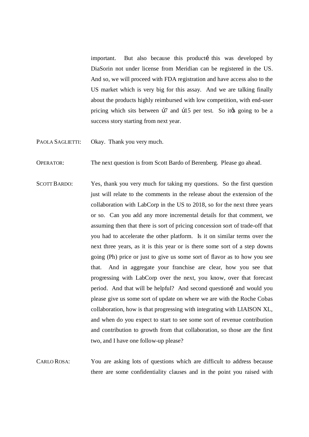important. But also because this producti this was developed by DiaSorin not under license from Meridian can be registered in the US. And so, we will proceed with FDA registration and have access also to the US market which is very big for this assay. And we are talking finally about the products highly reimbursed with low competition, with end-user pricing which sits between  $\frac{1}{2}$  and  $\frac{1}{5}$  per test. So it is going to be a success story starting from next year.

- PAOLA SAGLIETTI: Okay. Thank you very much.
- OPERATOR: The next question is from Scott Bardo of Berenberg. Please go ahead.
- SCOTT BARDO: Yes, thank you very much for taking my questions. So the first question just will relate to the comments in the release about the extension of the collaboration with LabCorp in the US to 2018, so for the next three years or so. Can you add any more incremental details for that comment, we assuming then that there is sort of pricing concession sort of trade-off that you had to accelerate the other platform. Is it on similar terms over the next three years, as it is this year or is there some sort of a step downs going (Ph) price or just to give us some sort of flavor as to how you see that. And in aggregate your franchise are clear, how you see that progressing with LabCorp over the next, you know, over that forecast period. And that will be helpful? And second questioni and would you please give us some sort of update on where we are with the Roche Cobas collaboration, how is that progressing with integrating with LIAISON XL, and when do you expect to start to see some sort of revenue contribution and contribution to growth from that collaboration, so those are the first two, and I have one follow-up please?
- CARLO ROSA: You are asking lots of questions which are difficult to address because there are some confidentiality clauses and in the point you raised with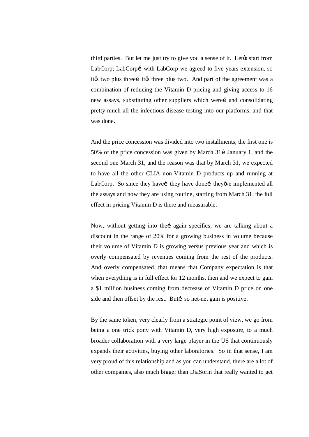third parties. But let me just try to give you a sense of it. Let ts start from LabCorp; LabCorpí with LabCorp we agreed to five years extension, so it the two plus three it its three plus two. And part of the agreement was a combination of reducing the Vitamin D pricing and giving access to 16 new assays, substituting other suppliers which werei and consolidating pretty much all the infectious disease testing into our platforms, and that was done.

And the price concession was divided into two installments, the first one is 50% of the price concession was given by March 311 January 1, and the second one March 31, and the reason was that by March 31, we expected to have all the other CLIA non-Vitamin D products up and running at LabCorp. So since they have they have done ithey we implemented all the assays and now they are using routine, starting from March 31, the full effect in pricing Vitamin D is there and measurable.

Now, without getting into thei again specifics, we are talking about a discount in the range of 20% for a growing business in volume because their volume of Vitamin D is growing versus previous year and which is overly compensated by revenues coming from the rest of the products. And overly compensated, that means that Company expectation is that when everything is in full effect for 12 months, then and we expect to gain a \$1 million business coming from decrease of Vitamin D price on one side and then offset by the rest. Buti so net-net gain is positive.

By the same token, very clearly from a strategic point of view, we go from being a one trick pony with Vitamin D, very high exposure, to a much broader collaboration with a very large player in the US that continuously expands their activities, buying other laboratories. So in that sense, I am very proud of this relationship and as you can understand, there are a lot of other companies, also much bigger than DiaSorin that really wanted to get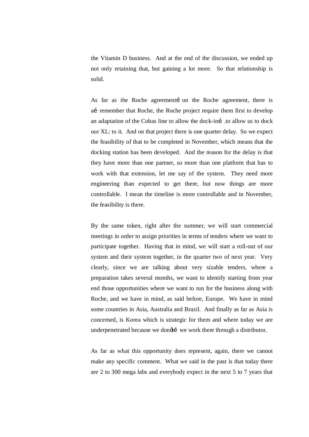the Vitamin D business. And at the end of the discussion, we ended up not only retaining that, but gaining a lot more. So that relationship is solid.

As far as the Roche agreement ion the Roche agreement, there is aí remember that Roche, the Roche project require them first to develop an adaptation of the Cobas line to allow the dock-iní .to allow us to dock our XL: to it. And on that project there is one quarter delay. So we expect the feasibility of that to be completed in November, which means that the docking station has been developed. And the reason for the delay is that they have more than one partner, so more than one platform that has to work with that extension, let me say of the system. They need more engineering than expected to get there, but now things are more controllable. I mean the timeline is more controllable and in November, the feasibility is there.

By the same token, right after the summer, we will start commercial meetings in order to assign priorities in terms of tenders where we want to participate together. Having that in mind, we will start a roll-out of our system and their system together, in the quarter two of next year. Very clearly, since we are talking about very sizable tenders, where a preparation takes several months, we want to identify starting from year end those opportunities where we want to run for the business along with Roche, and we have in mind, as said before, Europe. We have in mind some countries in Asia, Australia and Brazil. And finally as far as Asia is concerned, is Korea which is strategic for them and where today we are underpenetrated because we dongti we work there through a distributor.

As far as what this opportunity does represent, again, there we cannot make any specific comment. What we said in the past is that today there are 2 to 300 mega labs and everybody expect in the next 5 to 7 years that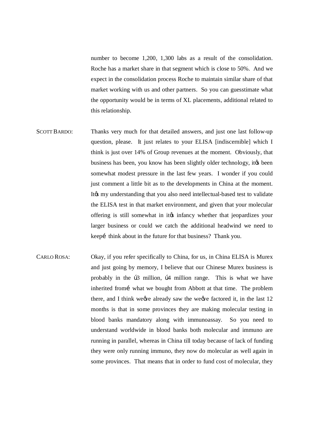number to become 1,200, 1,300 labs as a result of the consolidation. Roche has a market share in that segment which is close to 50%. And we expect in the consolidation process Roche to maintain similar share of that market working with us and other partners. So you can guesstimate what the opportunity would be in terms of XL placements, additional related to this relationship.

- SCOTT BARDO: Thanks very much for that detailed answers, and just one last follow-up question, please. It just relates to your ELISA [indiscernible] which I think is just over 14% of Group revenues at the moment. Obviously, that business has been, you know has been slightly older technology, it to been somewhat modest pressure in the last few years. I wonder if you could just comment a little bit as to the developments in China at the moment. It ts my understanding that you also need intellectual-based test to validate the ELISA test in that market environment, and given that your molecular offering is still somewhat in it to infancy whether that jeopardizes your larger business or could we catch the additional headwind we need to keepi think about in the future for that business? Thank you.
- CARLO ROSA: Okay, if you refer specifically to China, for us, in China ELISA is Murex and just going by memory, I believe that our Chinese Murex business is probably in the  $\beta$ 3 million,  $\beta$ 4 million range. This is what we have inherited from what we bought from Abbott at that time. The problem there, and I think we we already saw the we we factored it, in the last  $12$ months is that in some provinces they are making molecular testing in blood banks mandatory along with immunoassay. So you need to understand worldwide in blood banks both molecular and immuno are running in parallel, whereas in China till today because of lack of funding they were only running immuno, they now do molecular as well again in some provinces. That means that in order to fund cost of molecular, they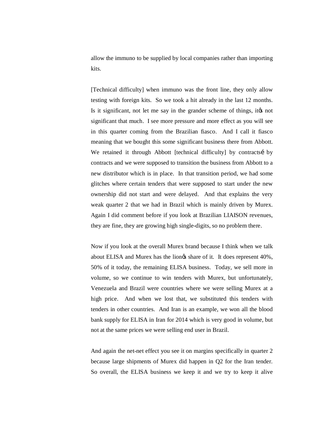allow the immuno to be supplied by local companies rather than importing kits.

[Technical difficulty] when immuno was the front line, they only allow testing with foreign kits. So we took a hit already in the last 12 months. Is it significant, not let me say in the grander scheme of things, it to not significant that much. I see more pressure and more effect as you will see in this quarter coming from the Brazilian fiasco. And I call it fiasco meaning that we bought this some significant business there from Abbott. We retained it through Abbott [technical difficulty] by contracts iby contracts and we were supposed to transition the business from Abbott to a new distributor which is in place. In that transition period, we had some glitches where certain tenders that were supposed to start under the new ownership did not start and were delayed. And that explains the very weak quarter 2 that we had in Brazil which is mainly driven by Murex. Again I did comment before if you look at Brazilian LIAISON revenues, they are fine, they are growing high single-digits, so no problem there.

Now if you look at the overall Murex brand because I think when we talk about ELISA and Murex has the liongs share of it. It does represent 40%, 50% of it today, the remaining ELISA business. Today, we sell more in volume, so we continue to win tenders with Murex, but unfortunately, Venezuela and Brazil were countries where we were selling Murex at a high price. And when we lost that, we substituted this tenders with tenders in other countries. And Iran is an example, we won all the blood bank supply for ELISA in Iran for 2014 which is very good in volume, but not at the same prices we were selling end user in Brazil.

And again the net-net effect you see it on margins specifically in quarter 2 because large shipments of Murex did happen in Q2 for the Iran tender. So overall, the ELISA business we keep it and we try to keep it alive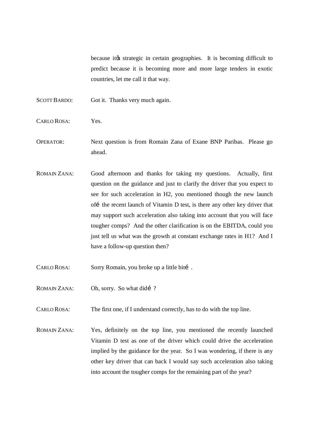because it ts strategic in certain geographies. It is becoming difficult to predict because it is becoming more and more large tenders in exotic countries, let me call it that way.

- SCOTT BARDO: Got it. Thanks very much again.
- CARLO ROSA: Yes.
- OPERATOR: Next question is from Romain Zana of Exane BNP Paribas. Please go ahead.
- ROMAIN ZANA: Good afternoon and thanks for taking my questions. Actually, first question on the guidance and just to clarify the driver that you expect to see for such acceleration in H2, you mentioned though the new launch off the recent launch of Vitamin D test, is there any other key driver that may support such acceleration also taking into account that you will face tougher comps? And the other clarification is on the EBITDA, could you just tell us what was the growth at constant exchange rates in H1? And I have a follow-up question then?
- CARLO ROSA: Sorry Romain, you broke up a little biti.
- ROMAIN ZANA: Oh, sorry. So what didí ?
- CARLO ROSA: The first one, if I understand correctly, has to do with the top line.
- ROMAIN ZANA: Yes, definitely on the top line, you mentioned the recently launched Vitamin D test as one of the driver which could drive the acceleration implied by the guidance for the year. So I was wondering, if there is any other key driver that can back I would say such acceleration also taking into account the tougher comps for the remaining part of the year?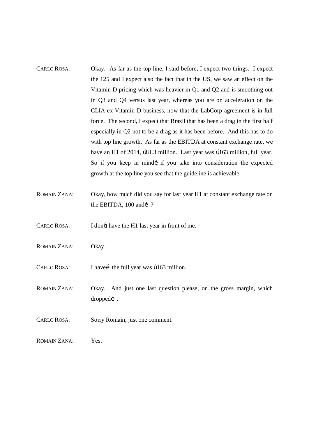- CARLO ROSA: Okay. As far as the top line, I said before, I expect two things. I expect the 125 and I expect also the fact that in the US, we saw an effect on the Vitamin D pricing which was heavier in Q1 and Q2 and is smoothing out in Q3 and Q4 versus last year, whereas you are on acceleration on the CLIA ex-Vitamin D business, now that the LabCorp agreement is in full force. The second, I expect that Brazil that has been a drag in the first half especially in Q2 not to be a drag as it has been before. And this has to do with top line growth. As far as the EBITDA at constant exchange rate, we have an H1 of 2014,  $\beta$ 81.3 million. Last year was  $\beta$ 163 million, full year. So if you keep in mindí if you take into consideration the expected growth at the top line you see that the guideline is achievable.
- ROMAIN ZANA: Okay, how much did you say for last year H1 at constant exchange rate on the EBITDA, 100 and í?

CARLO ROSA: I dong have the H1 last year in front of me.

- ROMAIN ZANA: Okay.
- $CARLO ROSA:$  I have i the full year was  $\frac{163}{100}$  million.
- ROMAIN ZANA: Okay. And just one last question please, on the gross margin, which dropped….
- CARLO ROSA: Sorry Romain, just one comment.
- ROMAIN ZANA: Yes.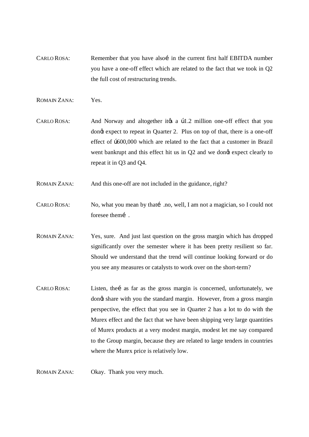CARLO ROSA: Remember that you have also in the current first half EBITDA number you have a one-off effect which are related to the fact that we took in Q2 the full cost of restructuring trends.

ROMAIN ZANA: Yes.

- CARLO ROSA: And Norway and altogether it a  $\beta$  = 1.2 million one-off effect that you dong expect to repeat in Quarter 2. Plus on top of that, there is a one-off effect of  $b600,000$  which are related to the fact that a customer in Brazil went bankrupt and this effect hit us in Q2 and we dongt expect clearly to repeat it in Q3 and Q4.
- ROMAIN ZANA: And this one-off are not included in the guidance, right?
- CARLO ROSA: No, what you mean by that ino, well, I am not a magician, so I could not foresee them  $\sim$ .
- ROMAIN ZANA: Yes, sure. And just last question on the gross margin which has dropped significantly over the semester where it has been pretty resilient so far. Should we understand that the trend will continue looking forward or do you see any measures or catalysts to work over on the short-term?
- CARLO ROSA: Listen, the i as far as the gross margin is concerned, unfortunately, we dong share with you the standard margin. However, from a gross margin perspective, the effect that you see in Quarter 2 has a lot to do with the Murex effect and the fact that we have been shipping very large quantities of Murex products at a very modest margin, modest let me say compared to the Group margin, because they are related to large tenders in countries where the Murex price is relatively low.

ROMAIN ZANA: Okay. Thank you very much.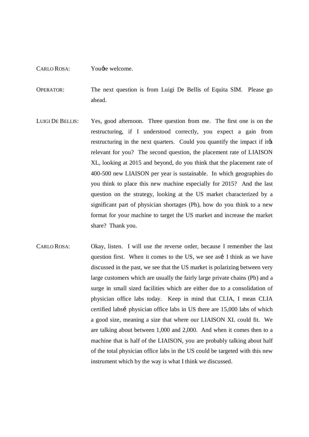## CARLO ROSA: You *d*re welcome.

- OPERATOR: The next question is from Luigi De Bellis of Equita SIM. Please go ahead.
- LUIGI DE BELLIS: Yes, good afternoon. Three question from me. The first one is on the restructuring, if I understood correctly, you expect a gain from restructuring in the next quarters. Could you quantify the impact if its relevant for you? The second question, the placement rate of LIAISON XL, looking at 2015 and beyond, do you think that the placement rate of 400-500 new LIAISON per year is sustainable. In which geographies do you think to place this new machine especially for 2015? And the last question on the strategy, looking at the US market characterized by a significant part of physician shortages (Ph), how do you think to a new format for your machine to target the US market and increase the market share? Thank you.
- CARLO ROSA: Okay, listen. I will use the reverse order, because I remember the last question first. When it comes to the US, we see así I think as we have discussed in the past, we see that the US market is polarizing between very large customers which are usually the fairly large private chains (Ph) and a surge in small sized facilities which are either due to a consolidation of physician office labs today. Keep in mind that CLIA, I mean CLIA certified labsi physician office labs in US there are 15,000 labs of which a good size, meaning a size that where our LIAISON XL could fit. We are talking about between 1,000 and 2,000. And when it comes then to a machine that is half of the LIAISON, you are probably talking about half of the total physician office labs in the US could be targeted with this new instrument which by the way is what I think we discussed.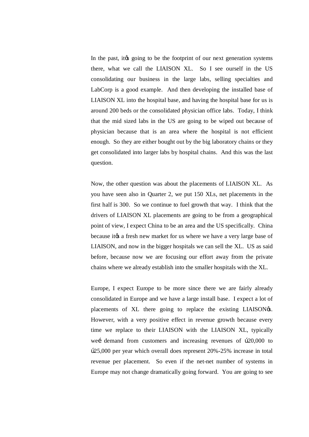In the past, it to going to be the footprint of our next generation systems there, what we call the LIAISON XL. So I see ourself in the US consolidating our business in the large labs, selling specialties and LabCorp is a good example. And then developing the installed base of LIAISON XL into the hospital base, and having the hospital base for us is around 200 beds or the consolidated physician office labs. Today, I think that the mid sized labs in the US are going to be wiped out because of physician because that is an area where the hospital is not efficient enough. So they are either bought out by the big laboratory chains or they get consolidated into larger labs by hospital chains. And this was the last question.

Now, the other question was about the placements of LIAISON XL. As you have seen also in Quarter 2, we put 150 XLs, net placements in the first half is 300. So we continue to fuel growth that way. I think that the drivers of LIAISON XL placements are going to be from a geographical point of view, I expect China to be an area and the US specifically. China because it the a fresh new market for us where we have a very large base of LIAISON, and now in the bigger hospitals we can sell the XL. US as said before, because now we are focusing our effort away from the private chains where we already establish into the smaller hospitals with the XL.

Europe, I expect Europe to be more since there we are fairly already consolidated in Europe and we have a large install base. I expect a lot of placements of XL there going to replace the existing LIAISON $\alpha$ s. However, with a very positive effect in revenue growth because every time we replace to their LIAISON with the LIAISON XL, typically wei demand from customers and increasing revenues of  $\frac{1}{20,000}$  to €25,000 per year which overall does represent 20%-25% increase in total revenue per placement. So even if the net-net number of systems in Europe may not change dramatically going forward. You are going to see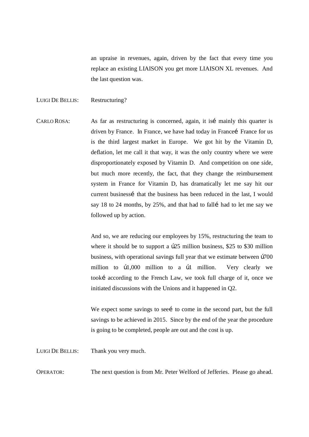an upraise in revenues, again, driven by the fact that every time you replace an existing LIAISON you get more LIAISON XL revenues. And the last question was.

## LUIGI DE BELLIS: Restructuring?

CARLO ROSA: As far as restructuring is concerned, again, it is mainly this quarter is driven by France. In France, we have had today in Francei France for us is the third largest market in Europe. We got hit by the Vitamin D, deflation, let me call it that way, it was the only country where we were disproportionately exposed by Vitamin D. And competition on one side, but much more recently, the fact, that they change the reimbursement system in France for Vitamin D, has dramatically let me say hit our current businessi that the business has been reduced in the last, I would say 18 to 24 months, by 25%, and that had to fall i had to let me say we followed up by action.

> And so, we are reducing our employees by 15%, restructuring the team to where it should be to support a  $b25$  million business, \$25 to \$30 million business, with operational savings full year that we estimate between  $b700$ million to  $\frac{10,000}{1}$  million to a  $\frac{1}{2}$  million. Very clearly we tookí according to the French Law, we took full charge of it, once we initiated discussions with the Unions and it happened in Q2.

> We expect some savings to see to come in the second part, but the full savings to be achieved in 2015. Since by the end of the year the procedure is going to be completed, people are out and the cost is up.

LUIGI DE BELLIS: Thank you very much.

OPERATOR: The next question is from Mr. Peter Welford of Jefferies. Please go ahead.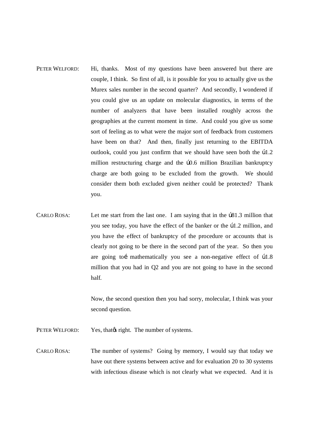- PETER WELFORD: Hi, thanks. Most of my questions have been answered but there are couple, I think. So first of all, is it possible for you to actually give us the Murex sales number in the second quarter? And secondly, I wondered if you could give us an update on molecular diagnostics, in terms of the number of analyzers that have been installed roughly across the geographies at the current moment in time. And could you give us some sort of feeling as to what were the major sort of feedback from customers have been on that? And then, finally just returning to the EBITDA outlook, could you just confirm that we should have seen both the  $\beta$ 1.2 million restructuring charge and the  $b$ 0.6 million Brazilian bankruptcy charge are both going to be excluded from the growth. We should consider them both excluded given neither could be protected? Thank you.
- CARLO ROSA: Let me start from the last one. I am saying that in the  $\beta$ 81.3 million that you see today, you have the effect of the banker or the  $b1.2$  million, and you have the effect of bankruptcy of the procedure or accounts that is clearly not going to be there in the second part of the year. So then you are going toi mathematically you see a non-negative effect of  $p1.8$ million that you had in Q2 and you are not going to have in the second half.

Now, the second question then you had sorry, molecular, I think was your second question.

PETER WELFORD: Yes, that  $\phi$  right. The number of systems.

CARLO ROSA: The number of systems? Going by memory, I would say that today we have out there systems between active and for evaluation 20 to 30 systems with infectious disease which is not clearly what we expected. And it is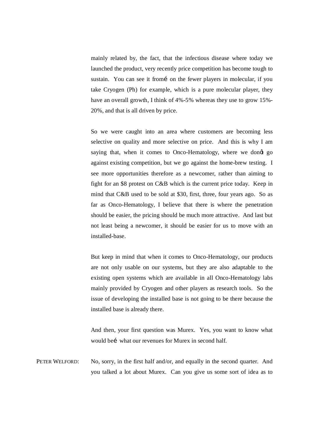mainly related by, the fact, that the infectious disease where today we launched the product, very recently price competition has become tough to sustain. You can see it from i on the fewer players in molecular, if you take Cryogen (Ph) for example, which is a pure molecular player, they have an overall growth, I think of 4%-5% whereas they use to grow 15%- 20%, and that is all driven by price.

So we were caught into an area where customers are becoming less selective on quality and more selective on price. And this is why I am saying that, when it comes to Onco-Hematology, where we dongt go against existing competition, but we go against the home-brew testing. I see more opportunities therefore as a newcomer, rather than aiming to fight for an \$8 protest on C&B which is the current price today. Keep in mind that C&B used to be sold at \$30, first, three, four years ago. So as far as Onco-Hematology, I believe that there is where the penetration should be easier, the pricing should be much more attractive. And last but not least being a newcomer, it should be easier for us to move with an installed-base.

But keep in mind that when it comes to Onco-Hematology, our products are not only usable on our systems, but they are also adaptable to the existing open systems which are available in all Onco-Hematology labs mainly provided by Cryogen and other players as research tools. So the issue of developing the installed base is not going to be there because the installed base is already there.

And then, your first question was Murex. Yes, you want to know what would bei what our revenues for Murex in second half.

PETER WELFORD: No, sorry, in the first half and/or, and equally in the second quarter. And you talked a lot about Murex. Can you give us some sort of idea as to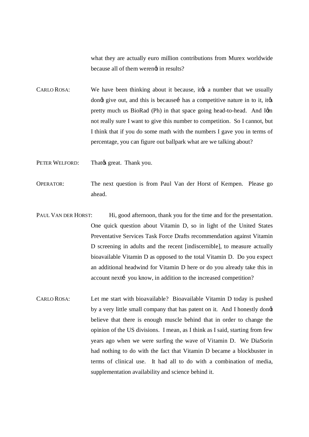what they are actually euro million contributions from Murex worldwide because all of them werengt in results?

CARLO ROSA: We have been thinking about it because, it to a number that we usually dong give out, and this is because i has a competitive nature in to it, itgs pretty much us BioRad (Ph) in that space going head-to-head. And Igm not really sure I want to give this number to competition. So I cannot, but I think that if you do some math with the numbers I gave you in terms of percentage, you can figure out ballpark what are we talking about?

PETER WELFORD: That  $\alpha$  great. Thank you.

- OPERATOR: The next question is from Paul Van der Horst of Kempen. Please go ahead.
- PAUL VAN DER HORST: Hi, good afternoon, thank you for the time and for the presentation. One quick question about Vitamin D, so in light of the United States Preventative Services Task Force Drafts recommendation against Vitamin D screening in adults and the recent [indiscernible], to measure actually bioavailable Vitamin D as opposed to the total Vitamin D. Do you expect an additional headwind for Vitamin D here or do you already take this in account nextí you know, in addition to the increased competition?
- CARLO ROSA: Let me start with bioavailable? Bioavailable Vitamin D today is pushed by a very little small company that has patent on it. And I honestly dong believe that there is enough muscle behind that in order to change the opinion of the US divisions. I mean, as I think as I said, starting from few years ago when we were surfing the wave of Vitamin D. We DiaSorin had nothing to do with the fact that Vitamin D became a blockbuster in terms of clinical use. It had all to do with a combination of media, supplementation availability and science behind it.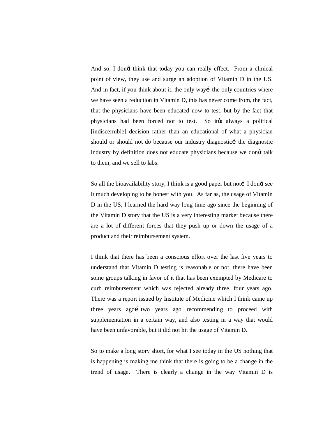And so, I dongt think that today you can really effect. From a clinical point of view, they use and surge an adoption of Vitamin D in the US. And in fact, if you think about it, the only way it he only countries where we have seen a reduction in Vitamin D, this has never come from, the fact, that the physicians have been educated now to test, but by the fact that physicians had been forced not to test. So it to always a political [indiscernible] decision rather than an educational of what a physician should or should not do because our industry diagnostici the diagnostic industry by definition does not educate physicians because we dongt talk to them, and we sell to labs.

So all the bioavailability story, I think is a good paper but noti I dong see it much developing to be honest with you. As far as, the usage of Vitamin D in the US, I learned the hard way long time ago since the beginning of the Vitamin D story that the US is a very interesting market because there are a lot of different forces that they push up or down the usage of a product and their reimbursement system.

I think that there has been a conscious effort over the last five years to understand that Vitamin D testing is reasonable or not, there have been some groups talking in favor of it that has been exempted by Medicare to curb reimbursement which was rejected already three, four years ago. There was a report issued by Institute of Medicine which I think came up three years agoí two years ago recommending to proceed with supplementation in a certain way, and also testing in a way that would have been unfavorable, but it did not hit the usage of Vitamin D.

So to make a long story short, for what I see today in the US nothing that is happening is making me think that there is going to be a change in the trend of usage. There is clearly a change in the way Vitamin D is